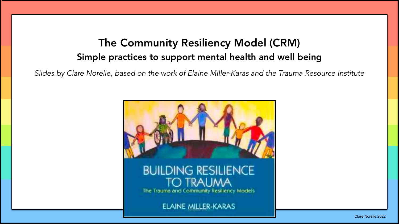## The Community Resiliency Model (CRM) Simple practices to support mental health and well being

*Slides by Clare Norelle, based on the work of Elaine Miller-Karas and the Trauma Resource Institute* 

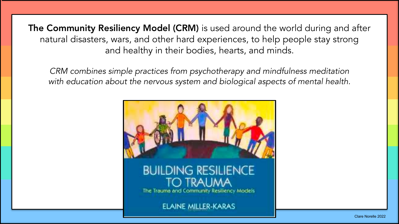The Community Resiliency Model (CRM) is used around the world during and after natural disasters, wars, and other hard experiences, to help people stay strong and healthy in their bodies, hearts, and minds.

*CRM combines simple practices from psychotherapy and mindfulness meditation with education about the nervous system and biological aspects of mental health.* 

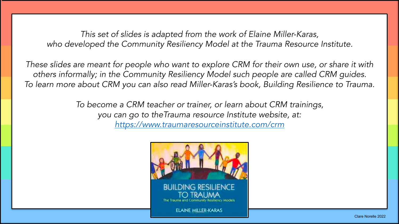*This set of slides is adapted from the work of Elaine Miller-Karas,*  who developed the Community Resiliency Model at the Trauma Resource Institute.

*These slides are meant for people who want to explore CRM for their own use, or share it with others informally; in the Community Resiliency Model such people are called CRM guides. To learn more about CRM you can also read Miller-Karas's book, Building Resilience to Trauma.* 

> *To become a CRM teacher or trainer, or learn about CRM trainings, you can go to theTrauma resource Institute website, at: <https://www.traumaresourceinstitute.com/crm>*

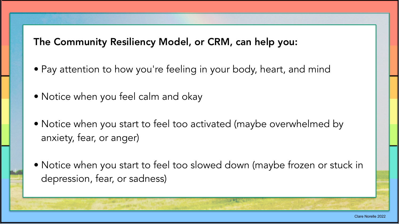The Community Resiliency Model, or CRM, can help you:

- Pay attention to how you're feeling in your body, heart, and mind
- Notice when you feel calm and okay
- Notice when you start to feel too activated (maybe overwhelmed by anxiety, fear, or anger)
- Notice when you start to feel too slowed down (maybe frozen or stuck in depression, fear, or sadness)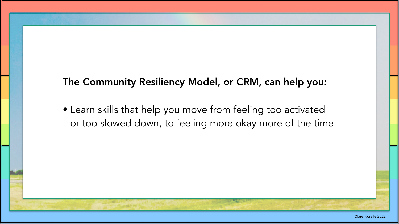## The Community Resiliency Model, or CRM, can help you:

• Learn skills that help you move from feeling too activated or too slowed down, to feeling more okay more of the time.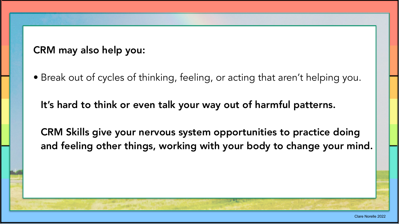CRM may also help you:

• Break out of cycles of thinking, feeling, or acting that aren't helping you.

It's hard to think or even talk your way out of harmful patterns.

CRM Skills give your nervous system opportunities to practice doing and feeling other things, working with your body to change your mind.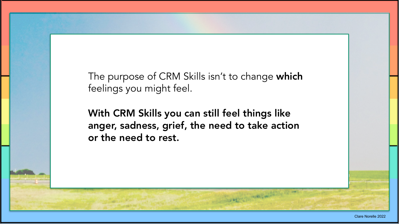The purpose of CRM Skills isn't to change which feelings you might feel.

With CRM Skills you can still feel things like anger, sadness, grief, the need to take action or the need to rest.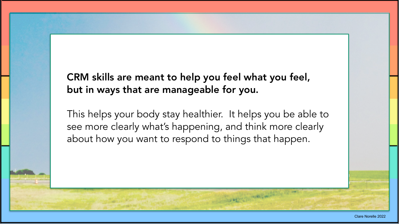## CRM skills are meant to help you feel what you feel, but in ways that are manageable for you.

This helps your body stay healthier. It helps you be able to see more clearly what's happening, and think more clearly about how you want to respond to things that happen.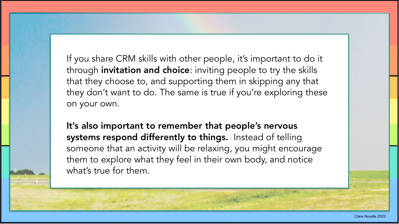If you share CRM skills with other people, it's important to do it through invitation and choice: inviting people to try the skills that they choose to, and supporting them in skipping any that they don't want to do. The same is true if you're exploring these on your own.

It's also important to remember that people's nervous systems respond differently to things. Instead of telling someone that an activity will be relaxing, you might encourage them to explore what they feel in their own body, and notice what's true for them.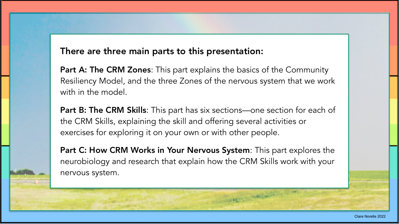## There are three main parts to this presentation:

Part A: The CRM Zones: This part explains the basics of the Community Resiliency Model, and the three Zones of the nervous system that we work with in the model.

Part B: The CRM Skills: This part has six sections—one section for each of the CRM Skills, explaining the skill and offering several activities or exercises for exploring it on your own or with other people.

Part C: How CRM Works in Your Nervous System: This part explores the neurobiology and research that explain how the CRM Skills work with your nervous system.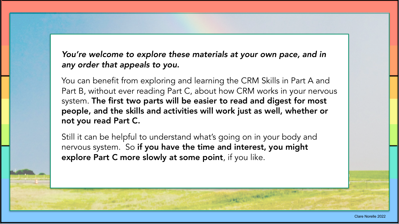*You're welcome to explore these materials at your own pace, and in any order that appeals to you.* 

You can benefit from exploring and learning the CRM Skills in Part A and Part B, without ever reading Part C, about how CRM works in your nervous system. The first two parts will be easier to read and digest for most people, and the skills and activities will work just as well, whether or not you read Part C.

Still it can be helpful to understand what's going on in your body and nervous system. So if you have the time and interest, you might explore Part C more slowly at some point, if you like.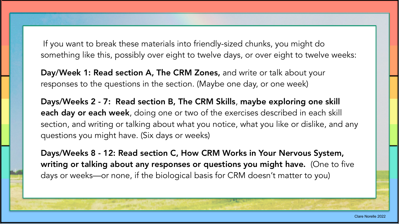If you want to break these materials into friendly-sized chunks, you might do something like this, possibly over eight to twelve days, or over eight to twelve weeks:

Day/Week 1: Read section A, The CRM Zones, and write or talk about your responses to the questions in the section. (Maybe one day, or one week)

Days/Weeks 2 - 7: Read section B, The CRM Skills, maybe exploring one skill each day or each week, doing one or two of the exercises described in each skill section, and writing or talking about what you notice, what you like or dislike, and any questions you might have. (Six days or weeks)

Days/Weeks 8 - 12: Read section C, How CRM Works in Your Nervous System, writing or talking about any responses or questions you might have. (One to five days or weeks—or none, if the biological basis for CRM doesn't matter to you)